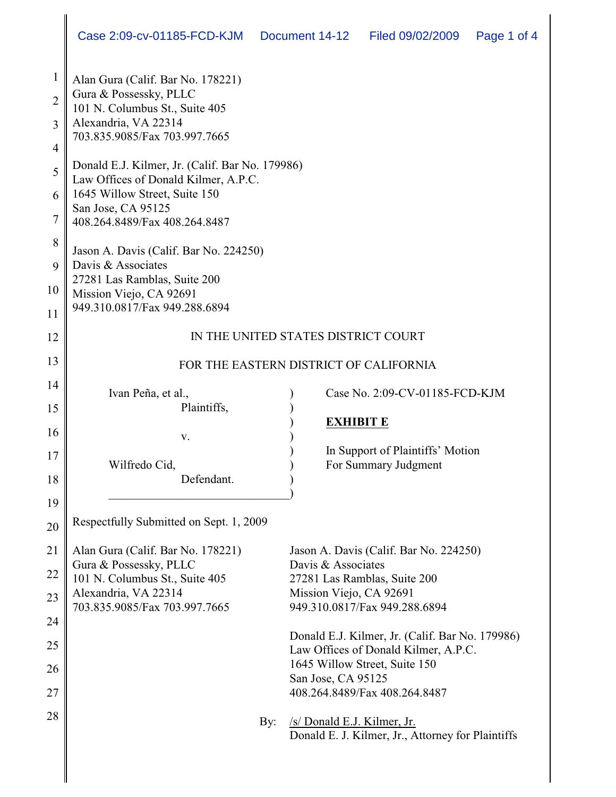| 1<br>$\overline{2}$<br>$\overline{3}$<br>$\overline{4}$ | Alan Gura (Calif. Bar No. 178221)<br>Gura & Possessky, PLLC<br>101 N. Columbus St., Suite 405<br>Alexandria, VA 22314<br>703.835.9085/Fax 703.997.7665 |                                                                                  |
|---------------------------------------------------------|--------------------------------------------------------------------------------------------------------------------------------------------------------|----------------------------------------------------------------------------------|
| 5                                                       | Donald E.J. Kilmer, Jr. (Calif. Bar No. 179986)                                                                                                        |                                                                                  |
| 6                                                       | Law Offices of Donald Kilmer, A.P.C.<br>1645 Willow Street, Suite 150                                                                                  |                                                                                  |
| $\overline{7}$                                          | San Jose, CA 95125<br>408.264.8489/Fax 408.264.8487                                                                                                    |                                                                                  |
| 8                                                       | Jason A. Davis (Calif. Bar No. 224250)                                                                                                                 |                                                                                  |
| 9                                                       | Davis & Associates                                                                                                                                     |                                                                                  |
| 10                                                      | 27281 Las Ramblas, Suite 200<br>Mission Viejo, CA 92691                                                                                                |                                                                                  |
| 11                                                      | 949.310.0817/Fax 949.288.6894                                                                                                                          |                                                                                  |
| 12                                                      | IN THE UNITED STATES DISTRICT COURT                                                                                                                    |                                                                                  |
| 13                                                      | FOR THE EASTERN DISTRICT OF CALIFORNIA                                                                                                                 |                                                                                  |
| 14                                                      | Ivan Peña, et al.,                                                                                                                                     | Case No. 2:09-CV-01185-FCD-KJM                                                   |
| 15                                                      | Plaintiffs,                                                                                                                                            |                                                                                  |
| 16                                                      | V.                                                                                                                                                     | <b>EXHIBIT E</b>                                                                 |
| 17                                                      |                                                                                                                                                        | In Support of Plaintiffs' Motion                                                 |
|                                                         | Wilfredo Cid,<br>Defendant.                                                                                                                            | For Summary Judgment                                                             |
| 18                                                      |                                                                                                                                                        |                                                                                  |
| 19<br>20                                                | Respectfully Submitted on Sept. 1, 2009                                                                                                                |                                                                                  |
|                                                         |                                                                                                                                                        |                                                                                  |
| 21                                                      | Alan Gura (Calif. Bar No. 178221)<br>Gura & Possessky, PLLC                                                                                            | Jason A. Davis (Calif. Bar No. 224250)<br>Davis & Associates                     |
| 22                                                      | 101 N. Columbus St., Suite 405                                                                                                                         | 27281 Las Ramblas, Suite 200                                                     |
| 23                                                      | Alexandria, VA 22314                                                                                                                                   | Mission Viejo, CA 92691                                                          |
| 24                                                      | 703.835.9085/Fax 703.997.7665                                                                                                                          | 949.310.0817/Fax 949.288.6894                                                    |
| 25                                                      |                                                                                                                                                        | Donald E.J. Kilmer, Jr. (Calif. Bar No. 179986)                                  |
|                                                         |                                                                                                                                                        | Law Offices of Donald Kilmer, A.P.C.<br>1645 Willow Street, Suite 150            |
| 26                                                      |                                                                                                                                                        | San Jose, CA 95125                                                               |
| 27                                                      |                                                                                                                                                        | 408.264.8489/Fax 408.264.8487                                                    |
| 28                                                      | By:                                                                                                                                                    | /s/ Donald E.J. Kilmer, Jr.<br>Donald E. J. Kilmer, Jr., Attorney for Plaintiffs |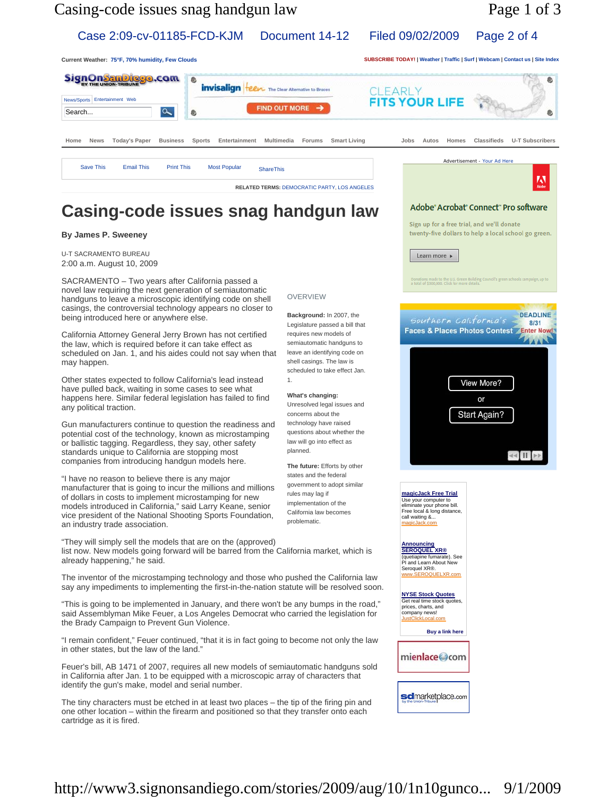

Case 2:09-cv-01185-FCD-KJM Document 14-12 Filed 09/02/2009 Page 2 of 4

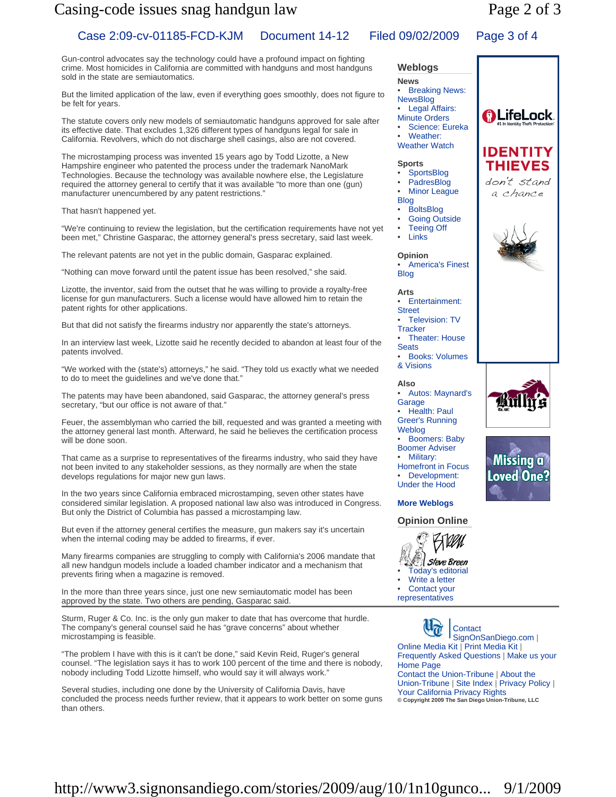# Casing-code issues snag handgun law Page 2 of 3

# Case 2:09-cv-01185-FCD-KJM Document 14-12 Filed 09/02/2009 Page 3 of 4

Gun-control advocates say the technology could have a profound impact on fighting crime. Most homicides in California are committed with handguns and most handguns sold in the state are semiautomatics.

But the limited application of the law, even if everything goes smoothly, does not figure to be felt for years.

The statute covers only new models of semiautomatic handguns approved for sale after its effective date. That excludes 1,326 different types of handguns legal for sale in California. Revolvers, which do not discharge shell casings, also are not covered.

The microstamping process was invented 15 years ago by Todd Lizotte, a New Hampshire engineer who patented the process under the trademark NanoMark Technologies. Because the technology was available nowhere else, the Legislature required the attorney general to certify that it was available "to more than one (gun) manufacturer unencumbered by any patent restrictions."

That hasn't happened yet.

"We're continuing to review the legislation, but the certification requirements have not yet been met," Christine Gasparac, the attorney general's press secretary, said last week.

The relevant patents are not yet in the public domain, Gasparac explained.

"Nothing can move forward until the patent issue has been resolved," she said.

Lizotte, the inventor, said from the outset that he was willing to provide a royalty-free license for gun manufacturers. Such a license would have allowed him to retain the patent rights for other applications.

But that did not satisfy the firearms industry nor apparently the state's attorneys.

In an interview last week, Lizotte said he recently decided to abandon at least four of the patents involved.

"We worked with the (state's) attorneys," he said. "They told us exactly what we needed to do to meet the guidelines and we've done that."

The patents may have been abandoned, said Gasparac, the attorney general's press secretary, "but our office is not aware of that."

Feuer, the assemblyman who carried the bill, requested and was granted a meeting with the attorney general last month. Afterward, he said he believes the certification process will be done soon.

That came as a surprise to representatives of the firearms industry, who said they have not been invited to any stakeholder sessions, as they normally are when the state develops regulations for major new gun laws.

In the two years since California embraced microstamping, seven other states have considered similar legislation. A proposed national law also was introduced in Congress. But only the District of Columbia has passed a microstamping law.

But even if the attorney general certifies the measure, gun makers say it's uncertain when the internal coding may be added to firearms, if ever.

Many firearms companies are struggling to comply with California's 2006 mandate that all new handgun models include a loaded chamber indicator and a mechanism that prevents firing when a magazine is removed.

In the more than three years since, just one new semiautomatic model has been approved by the state. Two others are pending, Gasparac said.

Sturm, Ruger & Co. Inc. is the only gun maker to date that has overcome that hurdle. The company's general counsel said he has "grave concerns" about whether microstamping is feasible.

"The problem I have with this is it can't be done," said Kevin Reid, Ruger's general counsel. "The legislation says it has to work 100 percent of the time and there is nobody, nobody including Todd Lizotte himself, who would say it will always work."

Several studies, including one done by the University of California Davis, have concluded the process needs further review, that it appears to work better on some guns than others.

#### **News Breaking News:** NewsBlog **Legal Affairs:** Minute Orders Science: Eureka Weather: Weather Watch **Sports** • SportsBlog **PadresBlog Minor League** Blog • BoltsBlog Going Outside **Teeing Off**

**Weblogs**

• Links

**Opinion** • America's Finest Blog

**Arts** 

- Entertainment:
- **Street**
- Television: TV **Tracker**
- Theater: House **Seats** • Books: Volumes
- & Visions
- **Also** • Autos: Maynard's
- Garage • Health: Paul
- Greer's Running
- Weblog • Boomers: Baby
- Boomer Adviser
- Military: Homefront in Focus Development:
- Under the Hood **More Weblogs**

### **Opinion Online**



Contact your representatives

**Contact** SignOnSanDiego.com | Online Media Kit | Print Media Kit | Frequently Asked Questions | Make us your Home Page Contact the Union-Tribune | About the Union-Tribune | Site Index | Privacy Policy | Your California Privacy Rights **© Copyright 2009 The San Diego Union-Tribune, LLC**





**Loved One?**